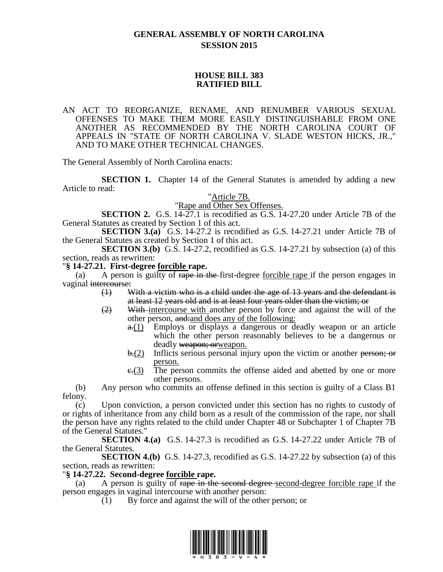# **GENERAL ASSEMBLY OF NORTH CAROLINA SESSION 2015**

## **HOUSE BILL 383 RATIFIED BILL**

#### AN ACT TO REORGANIZE, RENAME, AND RENUMBER VARIOUS SEXUAL OFFENSES TO MAKE THEM MORE EASILY DISTINGUISHABLE FROM ONE ANOTHER AS RECOMMENDED BY THE NORTH CAROLINA COURT OF APPEALS IN "STATE OF NORTH CAROLINA V. SLADE WESTON HICKS, JR.," AND TO MAKE OTHER TECHNICAL CHANGES.

The General Assembly of North Carolina enacts:

**SECTION 1.** Chapter 14 of the General Statutes is amended by adding a new Article to read:

"Article 7B.

"Rape and Other Sex Offenses.

**SECTION 2.** G.S. 14-27.1 is recodified as G.S. 14-27.20 under Article 7B of the General Statutes as created by Section 1 of this act.

**SECTION 3.(a)** G.S. 14-27.2 is recodified as G.S. 14-27.21 under Article 7B of the General Statutes as created by Section 1 of this act.

**SECTION 3.(b)** G.S. 14-27.2, recodified as G.S. 14-27.21 by subsection (a) of this section, reads as rewritten:

## "**§ 14-27.21. First-degree forcible rape.**

(a) A person is guilty of rape in the first-degree forcible rape if the person engages in vaginal intercourse:

- (1) With a victim who is a child under the age of 13 years and the defendant is at least 12 years old and is at least four years older than the victim; or
- $\left(2\right)$  With-intercourse with another person by force and against the will of the other person, and:and does any of the following:
	- $\theta$ .(1) Employs or displays a dangerous or deadly weapon or an article which the other person reasonably believes to be a dangerous or deadly weapon; orweapon.
	- $\frac{\mathbf{b} \cdot (2)}{2}$  Inflicts serious personal injury upon the victim or another person; or person.
	- $\epsilon$ .(3) The person commits the offense aided and abetted by one or more other persons.

(b) Any person who commits an offense defined in this section is guilty of a Class B1 felony.

(c) Upon conviction, a person convicted under this section has no rights to custody of or rights of inheritance from any child born as a result of the commission of the rape, nor shall the person have any rights related to the child under Chapter 48 or Subchapter 1 of Chapter 7B of the General Statutes."

**SECTION 4.(a)** G.S. 14-27.3 is recodified as G.S. 14-27.22 under Article 7B of the General Statutes.

**SECTION 4.(b)** G.S. 14-27.3, recodified as G.S. 14-27.22 by subsection (a) of this section, reads as rewritten:

## "**§ 14-27.22. Second-degree forcible rape.**

(a) A person is guilty of  $f$  rape in the second degree second-degree forcible rape if the person engages in vaginal intercourse with another person:

(1) By force and against the will of the other person; or

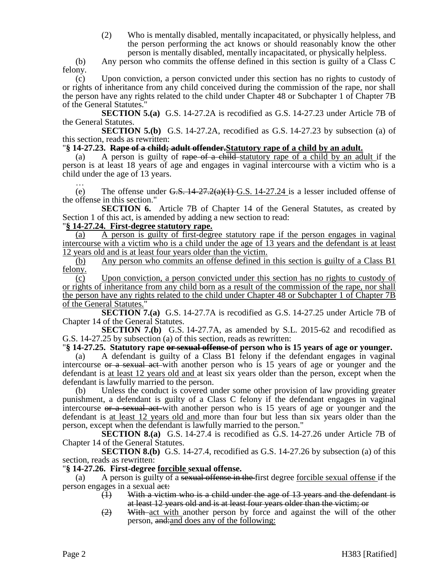(2) Who is mentally disabled, mentally incapacitated, or physically helpless, and the person performing the act knows or should reasonably know the other person is mentally disabled, mentally incapacitated, or physically helpless.

(b) Any person who commits the offense defined in this section is guilty of a Class C felony.

(c) Upon conviction, a person convicted under this section has no rights to custody of or rights of inheritance from any child conceived during the commission of the rape, nor shall the person have any rights related to the child under Chapter 48 or Subchapter 1 of Chapter 7B of the General Statutes."

**SECTION 5.(a)** G.S. 14-27.2A is recodified as G.S. 14-27.23 under Article 7B of the General Statutes.

**SECTION 5.(b)** G.S. 14-27.2A, recodified as G.S. 14-27.23 by subsection (a) of this section, reads as rewritten:

## "**§ 14-27.23. Rape of a child; adult offender.Statutory rape of a child by an adult.**

(a) A person is guilty of  $f$  rape of a child-statutory rape of a child by an adult if the person is at least 18 years of age and engages in vaginal intercourse with a victim who is a child under the age of 13 years.

… (e) The offense under  $\overline{G.S. 14-27.2(a)(1)}$  G.S. 14-27.24 is a lesser included offense of the offense in this section."

**SECTION 6.** Article 7B of Chapter 14 of the General Statutes, as created by Section 1 of this act, is amended by adding a new section to read:

## "**§ 14-27.24. First-degree statutory rape.**

(a) A person is guilty of first-degree statutory rape if the person engages in vaginal intercourse with a victim who is a child under the age of 13 years and the defendant is at least 12 years old and is at least four years older than the victim.

(b) Any person who commits an offense defined in this section is guilty of a Class B1 felony.

(c) Upon conviction, a person convicted under this section has no rights to custody of or rights of inheritance from any child born as a result of the commission of the rape, nor shall the person have any rights related to the child under Chapter 48 or Subchapter 1 of Chapter 7B of the General Statutes."

**SECTION 7.(a)** G.S. 14-27.7A is recodified as G.S. 14-27.25 under Article 7B of Chapter 14 of the General Statutes.

**SECTION 7.(b)** G.S. 14-27.7A, as amended by S.L. 2015-62 and recodified as G.S. 14-27.25 by subsection (a) of this section, reads as rewritten:

## "**§ 14-27.25. Statutory rape or sexual offense of person who is 15 years of age or younger.**

(a) A defendant is guilty of a Class B1 felony if the defendant engages in vaginal intercourse or a sexual act with another person who is 15 years of age or younger and the defendant is at least 12 years old and at least six years older than the person, except when the defendant is lawfully married to the person.

(b) Unless the conduct is covered under some other provision of law providing greater punishment, a defendant is guilty of a Class C felony if the defendant engages in vaginal intercourse or a sexual act with another person who is 15 years of age or younger and the defendant is at least 12 years old and more than four but less than six years older than the person, except when the defendant is lawfully married to the person."

**SECTION 8.(a)** G.S. 14-27.4 is recodified as G.S. 14-27.26 under Article 7B of Chapter 14 of the General Statutes.

**SECTION 8.(b)** G.S. 14-27.4, recodified as G.S. 14-27.26 by subsection (a) of this section, reads as rewritten:

## "**§ 14-27.26. First-degree forcible sexual offense.**

(a) A person is guilty of a sexual offense in the first degree <u>forcible sexual offense</u> if the person engages in a sexual act:

- $(1)$  With a victim who is a child under the age of 13 years and the defendant is at least 12 years old and is at least four years older than the victim; or
- (2) With act with another person by force and against the will of the other person, and:and does any of the following: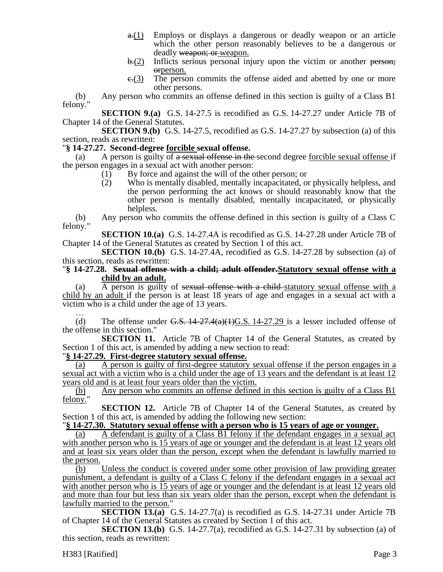- $\theta$ .(1) Employs or displays a dangerous or deadly weapon or an article which the other person reasonably believes to be a dangerous or deadly weapon; or weapon.
- $\frac{\partial}{\partial t}(2)$  Inflicts serious personal injury upon the victim or another person; orperson.
- $\epsilon$ .(3) The person commits the offense aided and abetted by one or more other persons.

(b) Any person who commits an offense defined in this section is guilty of a Class B1 felony."

**SECTION 9.(a)** G.S. 14-27.5 is recodified as G.S. 14-27.27 under Article 7B of Chapter 14 of the General Statutes.

**SECTION 9.(b)** G.S. 14-27.5, recodified as G.S. 14-27.27 by subsection (a) of this section, reads as rewritten:

## "**§ 14-27.27. Second-degree forcible sexual offense.**

(a) A person is guilty of  $\alpha$  sexual offense in the second degree forcible sexual offense if the person engages in a sexual act with another person:

- (1) By force and against the will of the other person; or
- (2) Who is mentally disabled, mentally incapacitated, or physically helpless, and the person performing the act knows or should reasonably know that the other person is mentally disabled, mentally incapacitated, or physically helpless.

(b) Any person who commits the offense defined in this section is guilty of a Class C felony."

**SECTION 10.(a)** G.S. 14-27.4A is recodified as G.S. 14-27.28 under Article 7B of Chapter 14 of the General Statutes as created by Section 1 of this act.

**SECTION 10.(b)** G.S. 14-27.4A, recodified as G.S. 14-27.28 by subsection (a) of this section, reads as rewritten:

#### "**§ 14-27.28. Sexual offense with a child; adult offender.Statutory sexual offense with a child by an adult.**

(a) A person is guilty of sexual offense with a child statutory sexual offense with a child by an adult if the person is at least 18 years of age and engages in a sexual act with a victim who is a child under the age of 13 years.

… (d) The offense under  $G.S. 14-27.4(a)(1)G.S. 14-27.29$  is a lesser included offense of the offense in this section."

**SECTION 11.** Article 7B of Chapter 14 of the General Statutes, as created by Section 1 of this act, is amended by adding a new section to read:

## "**§ 14-27.29. First-degree statutory sexual offense.**

(a) A person is guilty of first-degree statutory sexual offense if the person engages in a sexual act with a victim who is a child under the age of 13 years and the defendant is at least 12 years old and is at least four years older than the victim.

(b) Any person who commits an offense defined in this section is guilty of a Class B1 felony."

**SECTION 12.** Article 7B of Chapter 14 of the General Statutes, as created by Section 1 of this act, is amended by adding the following new section:

# "**§ 14-27.30. Statutory sexual offense with a person who is 15 years of age or younger.**

(a) A defendant is guilty of a Class B1 felony if the defendant engages in a sexual act with another person who is 15 years of age or younger and the defendant is at least 12 years old and at least six years older than the person, except when the defendant is lawfully married to the person.

(b) Unless the conduct is covered under some other provision of law providing greater punishment, a defendant is guilty of a Class C felony if the defendant engages in a sexual act with another person who is 15 years of age or younger and the defendant is at least 12 years old and more than four but less than six years older than the person, except when the defendant is lawfully married to the person."

**SECTION 13.(a)** G.S. 14-27.7(a) is recodified as G.S. 14-27.31 under Article 7B of Chapter 14 of the General Statutes as created by Section 1 of this act.

**SECTION 13.(b)** G.S. 14-27.7(a), recodified as G.S. 14-27.31 by subsection (a) of this section, reads as rewritten: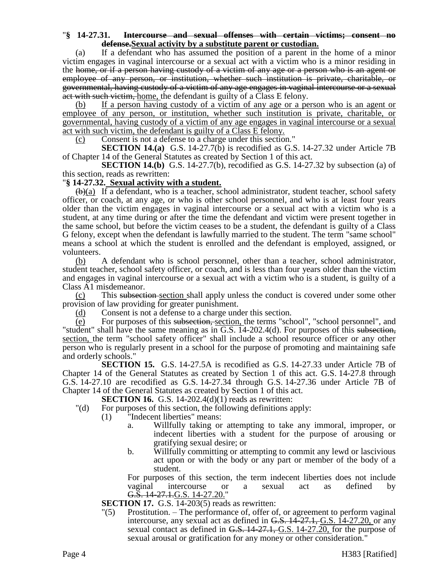### "**§ 14-27.31. Intercourse and sexual offenses with certain victims; consent no defense.Sexual activity by a substitute parent or custodian.**

(a) If a defendant who has assumed the position of a parent in the home of a minor victim engages in vaginal intercourse or a sexual act with a victim who is a minor residing in the home, or if a person having custody of a victim of any age or a person who is an agent or employee of any person, or institution, whether such institution is private, charitable, or governmental, having custody of a victim of any age engages in vaginal intercourse or a sexual act with such victim, home, the defendant is guilty of a Class E felony.

(b) If a person having custody of a victim of any age or a person who is an agent or employee of any person, or institution, whether such institution is private, charitable, or governmental, having custody of a victim of any age engages in vaginal intercourse or a sexual act with such victim, the defendant is guilty of a Class E felony.

(c) Consent is not a defense to a charge under this section."

**SECTION 14.(a)** G.S. 14-27.7(b) is recodified as G.S. 14-27.32 under Article 7B of Chapter 14 of the General Statutes as created by Section 1 of this act.

**SECTION 14.(b)** G.S. 14-27.7(b), recodified as G.S. 14-27.32 by subsection (a) of this section, reads as rewritten:

## "**§ 14-27.32. Sexual activity with a student.**

 $(\theta)$ (a) If a defendant, who is a teacher, school administrator, student teacher, school safety officer, or coach, at any age, or who is other school personnel, and who is at least four years older than the victim engages in vaginal intercourse or a sexual act with a victim who is a student, at any time during or after the time the defendant and victim were present together in the same school, but before the victim ceases to be a student, the defendant is guilty of a Class G felony, except when the defendant is lawfully married to the student. The term "same school" means a school at which the student is enrolled and the defendant is employed, assigned, or volunteers.

(b) A defendant who is school personnel, other than a teacher, school administrator, student teacher, school safety officer, or coach, and is less than four years older than the victim and engages in vaginal intercourse or a sexual act with a victim who is a student, is guilty of a Class A1 misdemeanor.

(c) This subsection section shall apply unless the conduct is covered under some other provision of law providing for greater punishment.

(d) Consent is not a defense to a charge under this section.

(e) For purposes of this subsection, section, the terms "school", "school personnel", and "student" shall have the same meaning as in G.S. 14-202.4(d). For purposes of this subsection, section, the term "school safety officer" shall include a school resource officer or any other person who is regularly present in a school for the purpose of promoting and maintaining safe and orderly schools."

**SECTION 15.** G.S. 14-27.5A is recodified as G.S. 14-27.33 under Article 7B of Chapter 14 of the General Statutes as created by Section 1 of this act. G.S. 14-27.8 through G.S. 14-27.10 are recodified as G.S. 14-27.34 through G.S. 14-27.36 under Article 7B of Chapter 14 of the General Statutes as created by Section 1 of this act.

**SECTION 16.** G.S. 14-202.4(d)(1) reads as rewritten:

- "(d) For purposes of this section, the following definitions apply:
	- (1) "Indecent liberties" means:
		- a. Willfully taking or attempting to take any immoral, improper, or indecent liberties with a student for the purpose of arousing or gratifying sexual desire; or
		- b. Willfully committing or attempting to commit any lewd or lascivious act upon or with the body or any part or member of the body of a student.

For purposes of this section, the term indecent liberties does not include vaginal intercourse or a sexual act as defined by G.S. 14-27.1.G.S. 14-27.20."

**SECTION 17.** G.S. 14-203(5) reads as rewritten:

"(5) Prostitution. – The performance of, offer of, or agreement to perform vaginal intercourse, any sexual act as defined in  $G.S. 14-27.1, G.S. 14-27.20$ , or any sexual contact as defined in G.S. 14-27.1, G.S. 14-27.20, for the purpose of sexual arousal or gratification for any money or other consideration."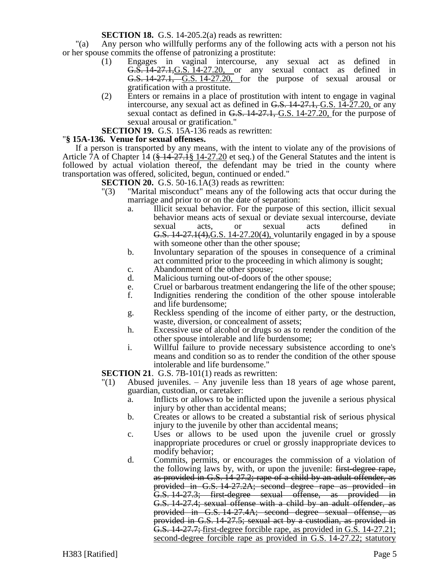**SECTION 18.** G.S. 14-205.2(a) reads as rewritten:

"(a) Any person who willfully performs any of the following acts with a person not his or her spouse commits the offense of patronizing a prostitute:

- (1) Engages in vaginal intercourse, any sexual act as defined in G.S. 14-27.1,G.S. 14-27.20, or any sexual contact as defined in G.S. 14-27.1, G.S. 14-27.20, for the purpose of sexual arousal or gratification with a prostitute.
- (2) Enters or remains in a place of prostitution with intent to engage in vaginal intercourse, any sexual act as defined in  $G.S. 14-27.1$ ,  $G.S. 14-27.20$ , or any sexual contact as defined in G.S. 14-27.1, G.S. 14-27.20, for the purpose of sexual arousal or gratification."
- **SECTION 19.** G.S. 15A-136 reads as rewritten:

# "**§ 15A-136. Venue for sexual offenses.**

If a person is transported by any means, with the intent to violate any of the provisions of Article  $7A$  of Chapter 14 ( $\frac{1}{2}$  +  $\frac{1}{27}$  +  $\frac{1}{27}$  +  $\frac{1}{27}$  +  $\frac{1}{27}$  +  $\frac{1}{27}$  +  $\frac{1}{27}$  +  $\frac{1}{27}$  +  $\frac{1}{27}$  +  $\frac{1}{27}$  +  $\frac{1}{27}$  +  $\frac{1}{27}$  +  $\frac{1}{27}$  +  $\frac{1}{27}$  +  $\frac{1}{27}$  + followed by actual violation thereof, the defendant may be tried in the county where transportation was offered, solicited, begun, continued or ended."

**SECTION 20.** G.S. 50-16.1A(3) reads as rewritten:

- "(3) "Marital misconduct" means any of the following acts that occur during the marriage and prior to or on the date of separation:
	- a. Illicit sexual behavior. For the purpose of this section, illicit sexual behavior means acts of sexual or deviate sexual intercourse, deviate sexual acts, or sexual acts defined in G.S. 14-27.1(4),G.S. 14-27.20(4), voluntarily engaged in by a spouse with someone other than the other spouse;
	- b. Involuntary separation of the spouses in consequence of a criminal act committed prior to the proceeding in which alimony is sought;
	- c. Abandonment of the other spouse;
	- d. Malicious turning out-of-doors of the other spouse;
	- e. Cruel or barbarous treatment endangering the life of the other spouse;
	- f. Indignities rendering the condition of the other spouse intolerable and life burdensome;
	- g. Reckless spending of the income of either party, or the destruction, waste, diversion, or concealment of assets;
	- h. Excessive use of alcohol or drugs so as to render the condition of the other spouse intolerable and life burdensome;
	- i. Willful failure to provide necessary subsistence according to one's means and condition so as to render the condition of the other spouse intolerable and life burdensome."

**SECTION 21.** G.S. 7B-101(1) reads as rewritten:

- "(1) Abused juveniles. Any juvenile less than 18 years of age whose parent, guardian, custodian, or caretaker:
	- a. Inflicts or allows to be inflicted upon the juvenile a serious physical injury by other than accidental means;
	- b. Creates or allows to be created a substantial risk of serious physical injury to the juvenile by other than accidental means;
	- c. Uses or allows to be used upon the juvenile cruel or grossly inappropriate procedures or cruel or grossly inappropriate devices to modify behavior;
	- d. Commits, permits, or encourages the commission of a violation of the following laws by, with, or upon the juvenile: first-degree rape, as provided in G.S. 14-27.2; rape of a child by an adult offender, as provided in G.S. 14-27.2A; second degree rape as provided in G.S. 14-27.3; first-degree sexual offense, as provided in G.S. 14-27.4; sexual offense with a child by an adult offender, as provided in G.S. 14-27.4A; second degree sexual offense, as provided in G.S. 14-27.5; sexual act by a custodian, as provided in G.S. 14-27.7; first-degree forcible rape, as provided in G.S. 14-27.21; second-degree forcible rape as provided in G.S. 14-27.22; statutory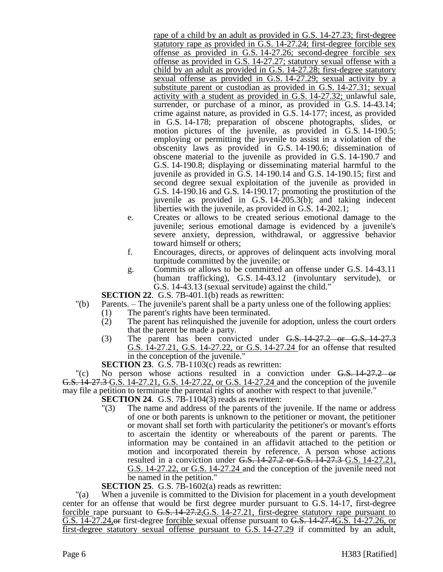rape of a child by an adult as provided in G.S. 14-27.23; first-degree statutory rape as provided in G.S. 14-27.24; first-degree forcible sex offense as provided in G.S. 14-27.26; second-degree forcible sex offense as provided in G.S. 14-27.27; statutory sexual offense with a child by an adult as provided in G.S. 14-27.28; first-degree statutory sexual offense as provided in G.S. 14-27.29; sexual activity by a substitute parent or custodian as provided in G.S. 14-27.31; sexual activity with a student as provided in G.S. 14-27.32; unlawful sale, surrender, or purchase of a minor, as provided in G.S. 14-43.14; crime against nature, as provided in G.S. 14-177; incest, as provided in G.S. 14-178; preparation of obscene photographs, slides, or motion pictures of the juvenile, as provided in G.S. 14-190.5; employing or permitting the juvenile to assist in a violation of the obscenity laws as provided in G.S. 14-190.6; dissemination of obscene material to the juvenile as provided in G.S. 14-190.7 and G.S. 14-190.8; displaying or disseminating material harmful to the juvenile as provided in G.S. 14-190.14 and G.S. 14-190.15; first and second degree sexual exploitation of the juvenile as provided in G.S. 14-190.16 and G.S. 14-190.17; promoting the prostitution of the juvenile as provided in G.S. 14-205.3(b); and taking indecent liberties with the juvenile, as provided in G.S. 14-202.1;

- e. Creates or allows to be created serious emotional damage to the juvenile; serious emotional damage is evidenced by a juvenile's severe anxiety, depression, withdrawal, or aggressive behavior toward himself or others;
- f. Encourages, directs, or approves of delinquent acts involving moral turpitude committed by the juvenile; or
- g. Commits or allows to be committed an offense under G.S. 14-43.11 (human trafficking), G.S. 14-43.12 (involuntary servitude), or G.S. 14-43.13 (sexual servitude) against the child."

**SECTION 22.** G.S. 7B-401.1(b) reads as rewritten:

- "(b) Parents. The juvenile's parent shall be a party unless one of the following applies:
	-
	- (1) The parent's rights have been terminated.<br>(2) The parent has relinguished the juvenile f The parent has relinquished the juvenile for adoption, unless the court orders that the parent be made a party.
	- (3) The parent has been convicted under  $G.S. 14-27.2$  or  $G.S. 14-27.3$ G.S. 14-27.21, G.S. 14-27.22, or G.S. 14-27.24 for an offense that resulted in the conception of the juvenile."

**SECTION 23.** G.S. 7B-1103(c) reads as rewritten:

"(c) No person whose actions resulted in a conviction under G.S. 14-27.2 or G.S. 14-27.3 G.S. 14-27.21, G.S. 14-27.22, or G.S. 14-27.24 and the conception of the juvenile may file a petition to terminate the parental rights of another with respect to that juvenile."

**SECTION 24.** G.S. 7B-1104(3) reads as rewritten:

"(3) The name and address of the parents of the juvenile. If the name or address of one or both parents is unknown to the petitioner or movant, the petitioner or movant shall set forth with particularity the petitioner's or movant's efforts to ascertain the identity or whereabouts of the parent or parents. The information may be contained in an affidavit attached to the petition or motion and incorporated therein by reference. A person whose actions resulted in a conviction under G.S. 14-27.2 or G.S. 14-27.3 G.S. 14-27.21, G.S. 14-27.22, or G.S. 14-27.24 and the conception of the juvenile need not be named in the petition."

**SECTION 25.** G.S. 7B-1602(a) reads as rewritten:

"(a) When a juvenile is committed to the Division for placement in a youth development center for an offense that would be first degree murder pursuant to G.S. 14-17, first-degree forcible rape pursuant to G.S. 14-27.2,G.S. 14-27.21, first-degree statutory rape pursuant to G.S. 14-27.24, or first-degree <u>forcible</u> sexual offense pursuant to G.S. 14-27.4G.S. 14-27.26, or first-degree statutory sexual offense pursuant to G.S. 14-27.29 if committed by an adult,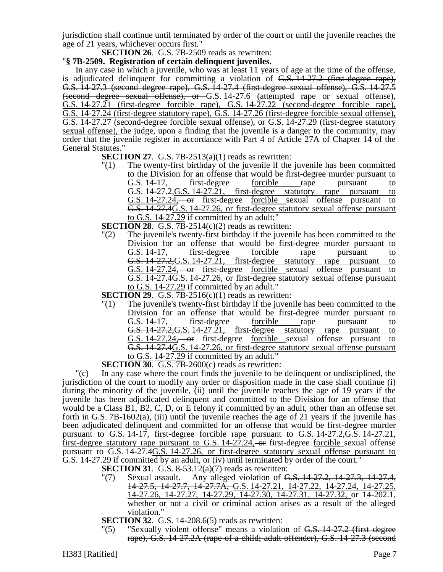jurisdiction shall continue until terminated by order of the court or until the juvenile reaches the age of 21 years, whichever occurs first."

**SECTION 26**. G.S. 7B-2509 reads as rewritten:

#### "**§ 7B-2509. Registration of certain delinquent juveniles.**

In any case in which a juvenile, who was at least 11 years of age at the time of the offense, is adjudicated delinquent for committing a violation of  $G.S. 14-27.2$  (first-degree rape), G.S. 14-27.3 (second degree rape), G.S. 14-27.4 (first-degree sexual offense), G.S. 14-27.5 (second degree sexual offense), or G.S. 14-27.6 (attempted rape or sexual offense), G.S. 14-27.21 (first-degree forcible rape), G.S. 14-27.22 (second-degree forcible rape), G.S. 14-27.24 (first-degree statutory rape), G.S. 14-27.26 (first-degree forcible sexual offense), G.S. 14-27.27 (second-degree forcible sexual offense), or G.S. 14-27.29 (first-degree statutory sexual offense), the judge, upon a finding that the juvenile is a danger to the community, may order that the juvenile register in accordance with Part 4 of Article 27A of Chapter 14 of the General Statutes."

**SECTION 27.** G.S. 7B-2513(a)(1) reads as rewritten:

- "(1) The twenty-first birthday of the juvenile if the juvenile has been committed to the Division for an offense that would be first-degree murder pursuant to G.S. 14-17, first-degree forcible rape pursuant to G.S. 14-27.2,G.S. 14-27.21, first-degree statutory rape pursuant to G.S. 14-27.24, or first-degree forcible sexual offense pursuant to G.S. 14-27.4G.S. 14-27.26, or first-degree statutory sexual offense pursuant to G.S. 14-27.29 if committed by an adult;"
- **SECTION 28.** G.S. 7B-2514(c)(2) reads as rewritten:
- "(2) The juvenile's twenty-first birthday if the juvenile has been committed to the Division for an offense that would be first-degree murder pursuant to G.S. 14-17, first-degree forcible rape pursuant to G.S. 14-17, first-degree forcible rape pursuant to G.S. 14-27.2,G.S. 14-27.21, first-degree statutory rape pursuant to G.S. 14-27.24, or first-degree <u>forcible</u> sexual offense pursuant to G.S. 14-27.4G.S. 14-27.26, or first-degree statutory sexual offense pursuant to G.S. 14-27.29 if committed by an adult."

**SECTION 29.** G.S. 7B-2516(c)(1) reads as rewritten:

"(1) The juvenile's twenty-first birthday if the juvenile has been committed to the Division for an offense that would be first-degree murder pursuant to G.S. 14-17, first-degree forcible rape pursuant to G.S. 14-27.2, G.S. 14-27.21, first-degree statutory rape pursuant to G.S. 14-27.24, or first-degree <u>forcible sexual</u> offense pursuant to G.S. 14-27.4G.S. 14-27.26, or first-degree statutory sexual offense pursuant to G.S. 14-27.29 if committed by an adult."

**SECTION 30.** G.S. 7B-2600(c) reads as rewritten:

"(c) In any case where the court finds the juvenile to be delinquent or undisciplined, the jurisdiction of the court to modify any order or disposition made in the case shall continue (i) during the minority of the juvenile, (ii) until the juvenile reaches the age of 19 years if the juvenile has been adjudicated delinquent and committed to the Division for an offense that would be a Class B1, B2, C, D, or E felony if committed by an adult, other than an offense set forth in G.S. 7B-1602(a), (iii) until the juvenile reaches the age of 21 years if the juvenile has been adjudicated delinquent and committed for an offense that would be first-degree murder pursuant to G.S. 14-17, first-degree <u>forcible r</u>ape pursuant to G.S. 14-27.2, G.S. 14-27.21, first-degree statutory rape pursuant to G.S. 14-27.24, or first-degree <u>forcible</u> sexual offense pursuant to G.S. 14-27.4G.S. 14-27.26, or first-degree statutory sexual offense pursuant to G.S. 14-27.29 if committed by an adult, or (iv) until terminated by order of the court."

**SECTION 31.** G.S. 8-53.12(a)(7) reads as rewritten:

- "(7) Sexual assault. Any alleged violation of G.S.  $14-27.2$ ,  $14-27.3$ ,  $14-27.4$ , 14-27.5, 14-27.7, 14-27.7A, G.S. 14-27.21, 14-27.22, 14-27.24, 14-27.25, 14-27.26, 14-27.27, 14-27.29, 14-27.30, 14-27.31, 14-27.32, or 14-202.1, whether or not a civil or criminal action arises as a result of the alleged violation."
- **SECTION 32.** G.S. 14-208.6(5) reads as rewritten:
- "(5) "Sexually violent offense" means a violation of <del>G.S. 14 27.2 (first degree</del> rape), G.S. 14-27.2A (rape of a child; adult offender), G.S. 14-27.3 (second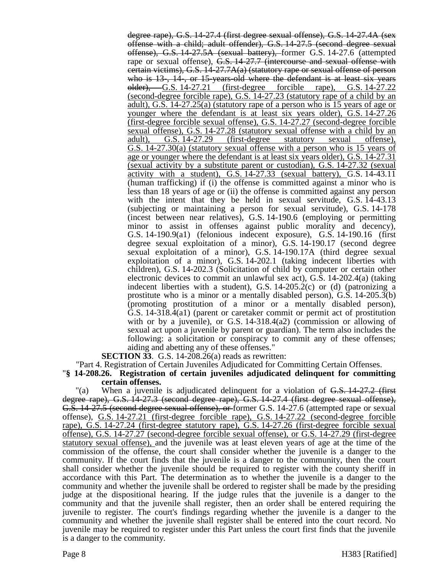degree rape), G.S. 14-27.4 (first degree sexual offense), G.S. 14-27.4A (sex offense with a child; adult offender), G.S. 14-27.5 (second degree sexual offense), G.S. 14-27.5A (sexual battery), former G.S. 14-27.6 (attempted rape or sexual offense), G.S. 14-27.7 (intercourse and sexual offense with certain victims), G.S. 14-27.7A(a) (statutory rape or sexual offense of person who is 13-, 14-, or 15-years-old where the defendant is at least six years older), G.S. 14-27.21 (first-degree forcible rape), G.S. 14-27.22 (second-degree forcible rape), G.S. 14-27.23 (statutory rape of a child by an adult), G.S. 14-27.25(a) (statutory rape of a person who is 15 years of age or younger where the defendant is at least six years older), G.S. 14-27.26 (first-degree forcible sexual offense), G.S. 14-27.27 (second-degree forcible sexual offense), G.S. 14-27.28 (statutory sexual offense with a child by an adult), G.S. 14-27.29 (first-degree statutory sexual offense), G.S. 14-27.30(a) (statutory sexual offense with a person who is 15 years of age or younger where the defendant is at least six years older), G.S. 14-27.31 (sexual activity by a substitute parent or custodian), G.S. 14-27.32 (sexual activity with a student), G.S. 14-27.33 (sexual battery), G.S. 14-43.11 (human trafficking) if (i) the offense is committed against a minor who is less than 18 years of age or (ii) the offense is committed against any person with the intent that they be held in sexual servitude, G.S. 14-43.13 (subjecting or maintaining a person for sexual servitude), G.S. 14-178 (incest between near relatives), G.S. 14-190.6 (employing or permitting minor to assist in offenses against public morality and decency), G.S. 14-190.9(a1) (felonious indecent exposure), G.S. 14-190.16 (first degree sexual exploitation of a minor), G.S. 14-190.17 (second degree sexual exploitation of a minor), G.S. 14-190.17A (third degree sexual exploitation of a minor), G.S. 14-202.1 (taking indecent liberties with children), G.S. 14-202.3 (Solicitation of child by computer or certain other electronic devices to commit an unlawful sex act), G.S. 14-202.4(a) (taking indecent liberties with a student), G.S. 14-205.2(c) or (d) (patronizing a prostitute who is a minor or a mentally disabled person), G.S. 14-205.3(b) (promoting prostitution of a minor or a mentally disabled person), G.S. 14-318.4(a1) (parent or caretaker commit or permit act of prostitution with or by a juvenile), or G.S. 14-318.4(a2) (commission or allowing of sexual act upon a juvenile by parent or guardian). The term also includes the following: a solicitation or conspiracy to commit any of these offenses; aiding and abetting any of these offenses."

**SECTION 33**. G.S. 14-208.26(a) reads as rewritten:

"Part 4. Registration of Certain Juveniles Adjudicated for Committing Certain Offenses.

#### "**§ 14-208.26. Registration of certain juveniles adjudicated delinquent for committing certain offenses.**

"(a) When a juvenile is adjudicated delinquent for a violation of G.S. 14-27.2 (first degree rape), G.S. 14-27.3 (second degree rape), G.S. 14-27.4 (first degree sexual offense), G.S. 14-27.5 (second degree sexual offense), or former G.S. 14-27.6 (attempted rape or sexual offense), G.S. 14-27.21 (first-degree forcible rape), G.S. 14-27.22 (second-degree forcible rape), G.S. 14-27.24 (first-degree statutory rape), G.S. 14-27.26 (first-degree forcible sexual offense), G.S. 14-27.27 (second-degree forcible sexual offense), or G.S. 14-27.29 (first-degree statutory sexual offense), and the juvenile was at least eleven years of age at the time of the commission of the offense, the court shall consider whether the juvenile is a danger to the community. If the court finds that the juvenile is a danger to the community, then the court shall consider whether the juvenile should be required to register with the county sheriff in accordance with this Part. The determination as to whether the juvenile is a danger to the community and whether the juvenile shall be ordered to register shall be made by the presiding judge at the dispositional hearing. If the judge rules that the juvenile is a danger to the community and that the juvenile shall register, then an order shall be entered requiring the juvenile to register. The court's findings regarding whether the juvenile is a danger to the community and whether the juvenile shall register shall be entered into the court record. No juvenile may be required to register under this Part unless the court first finds that the juvenile is a danger to the community.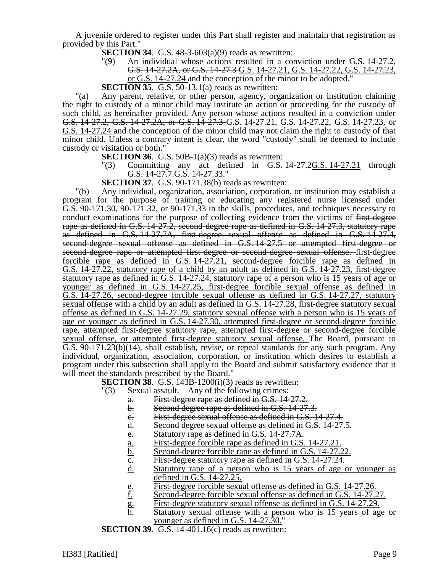A juvenile ordered to register under this Part shall register and maintain that registration as provided by this Part."

- **SECTION 34.** G.S. 48-3-603(a)(9) reads as rewritten:
- $\degree$ (9) An individual whose actions resulted in a conviction under G.S. 14-27.2, G.S. 14-27.2A, or G.S. 14-27.3 G.S. 14-27.21, G.S. 14-27.22, G.S. 14-27.23, or G.S. 14-27.24 and the conception of the minor to be adopted."

**SECTION 35**. G.S. 50-13.1(a) reads as rewritten:

"(a) Any parent, relative, or other person, agency, organization or institution claiming the right to custody of a minor child may institute an action or proceeding for the custody of such child, as hereinafter provided. Any person whose actions resulted in a conviction under G.S. 14-27.2, G.S. 14-27.2A, or G.S. 14-27.3 G.S. 14-27.21, G.S. 14-27.22, G.S. 14-27.23, or G.S. 14-27.24 and the conception of the minor child may not claim the right to custody of that minor child. Unless a contrary intent is clear, the word "custody" shall be deemed to include custody or visitation or both."

**SECTION 36.** G.S. 50B-1(a)(3) reads as rewritten:

"(3) Committing any act defined in  $\overline{G.S. 14-27.2}$ G.S. 14-27.21 through G.S. 14-27.7.G.S. 14-27.33."

**SECTION 37.** G.S. 90-171.38(b) reads as rewritten:

"(b) Any individual, organization, association, corporation, or institution may establish a program for the purpose of training or educating any registered nurse licensed under G.S. 90-171.30, 90-171.32, or 90-171.33 in the skills, procedures, and techniques necessary to conduct examinations for the purpose of collecting evidence from the victims of first-degree rape as defined in G.S. 14-27.2, second-degree rape as defined in G.S. 14-27.3, statutory rape as defined in G.S. 14-27.7A, first-degree sexual offense as defined in G.S. 14-27.4, second-degree sexual offense as defined in G.S. 14-27.5 or attempted first-degree or second-degree rape or attempted first-degree or second-degree sexual offense. first-degree forcible rape as defined in G.S. 14-27.21, second-degree forcible rape as defined in G.S. 14-27.22, statutory rape of a child by an adult as defined in G.S. 14-27.23, first-degree statutory rape as defined in G.S. 14-27.24, statutory rape of a person who is 15 years of age or younger as defined in G.S. 14-27.25, first-degree forcible sexual offense as defined in G.S. 14-27.26, second-degree forcible sexual offense as defined in G.S. 14-27.27, statutory sexual offense with a child by an adult as defined in G.S. 14-27.28, first-degree statutory sexual offense as defined in G.S. 14-27.29, statutory sexual offense with a person who is 15 years of age or younger as defined in G.S. 14-27.30, attempted first-degree or second-degree forcible rape, attempted first-degree statutory rape, attempted first-degree or second-degree forcible sexual offense, or attempted first-degree statutory sexual offense. The Board, pursuant to G.S. 90-171.23(b)(14), shall establish, revise, or repeal standards for any such program. Any individual, organization, association, corporation, or institution which desires to establish a program under this subsection shall apply to the Board and submit satisfactory evidence that it will meet the standards prescribed by the Board."

**SECTION 38.** G.S. 143B-1200(i)(3) reads as rewritten:

- $\Gamma(3)$  Sexual assault. Any of the following crimes:
	- a. First-degree rape as defined in G.S. 14-27.2.
	- b. Second degree rape as defined in G.S. 14-27.3.
	- c. First-degree sexual offense as defined in G.S. 14-27.4.
	- d. Second degree sexual offense as defined in G.S. 14-27.5.
	- e. Statutory rape as defined in G.S. 14-27.7A.
	- a. First-degree forcible rape as defined in G.S. 14-27.21.
	- b. Second-degree forcible rape as defined in G.S. 14-27.22.
	- c. First-degree statutory rape as defined in G.S. 14-27.24.
	- d. Statutory rape of a person who is 15 years of age or younger as defined in G.S. 14-27.25.
	- e. First-degree forcible sexual offense as defined in G.S. 14-27.26.<br><u>f.</u> Second-degree forcible sexual offense as defined in G.S. 14-27.
	- Second-degree forcible sexual offense as defined in G.S. 14-27.27.
	- g. First-degree statutory sexual offense as defined in G.S. 14-27.29.<br>h. Statutory sexual offense with a person who is 15 years of age
	- Statutory sexual offense with a person who is 15 years of age or younger as defined in G.S. 14-27.30."

**SECTION 39**. G.S. 14-401.16(c) reads as rewritten: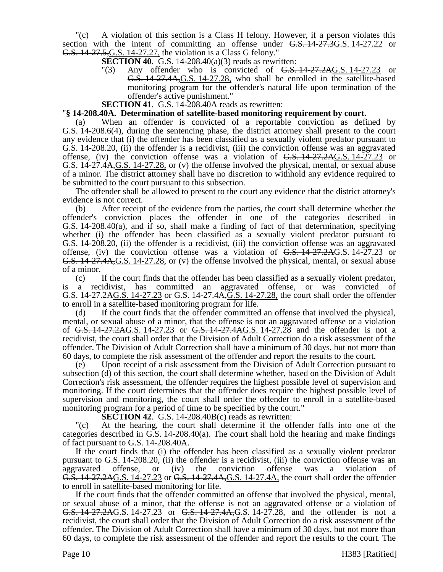"(c) A violation of this section is a Class H felony. However, if a person violates this section with the intent of committing an offense under G.S. 14-27.3G.S. 14-27.22 or G.S. 14-27.5,G.S. 14-27.27, the violation is a Class G felony."

**SECTION 40**. G.S. 14-208.40(a)(3) reads as rewritten:

"(3) Any offender who is convicted of  $\overline{G.S. 14-27.2AG.S. 14-27.23}$  or G.S. 14-27.4A,G.S. 14-27.28, who shall be enrolled in the satellite-based monitoring program for the offender's natural life upon termination of the offender's active punishment."

**SECTION 41**. G.S. 14-208.40A reads as rewritten:

### "**§ 14-208.40A. Determination of satellite-based monitoring requirement by court.**

(a) When an offender is convicted of a reportable conviction as defined by G.S. 14-208.6(4), during the sentencing phase, the district attorney shall present to the court any evidence that (i) the offender has been classified as a sexually violent predator pursuant to G.S. 14-208.20, (ii) the offender is a recidivist, (iii) the conviction offense was an aggravated offense, (iv) the conviction offense was a violation of  $G.S. 14-27.2AG.S. 14-27.23$  or G.S. 14-27.4A,G.S. 14-27.28, or (v) the offense involved the physical, mental, or sexual abuse of a minor. The district attorney shall have no discretion to withhold any evidence required to be submitted to the court pursuant to this subsection.

The offender shall be allowed to present to the court any evidence that the district attorney's evidence is not correct.

(b) After receipt of the evidence from the parties, the court shall determine whether the offender's conviction places the offender in one of the categories described in G.S. 14-208.40(a), and if so, shall make a finding of fact of that determination, specifying whether (i) the offender has been classified as a sexually violent predator pursuant to G.S. 14-208.20, (ii) the offender is a recidivist, (iii) the conviction offense was an aggravated offense, (iv) the conviction of ense was a violation of  $\overline{G.S. 14-27.2AG.S. 14-27.23}$  or G.S. 14-27.4A,G.S. 14-27.28, or (v) the offense involved the physical, mental, or sexual abuse of a minor.

(c) If the court finds that the offender has been classified as a sexually violent predator, is a recidivist, has committed an aggravated offense, or was convicted of G.S. 14-27.2AG.S. 14-27.23 or G.S. 14-27.4A,G.S. 14-27.28, the court shall order the offender to enroll in a satellite-based monitoring program for life.

(d) If the court finds that the offender committed an offense that involved the physical, mental, or sexual abuse of a minor, that the offense is not an aggravated offense or a violation of G.S. 14-27.2AG.S. 14-27.23 or G.S. 14-27.4AG.S. 14-27.28 and the offender is not a recidivist, the court shall order that the Division of Adult Correction do a risk assessment of the offender. The Division of Adult Correction shall have a minimum of 30 days, but not more than 60 days, to complete the risk assessment of the offender and report the results to the court.

(e) Upon receipt of a risk assessment from the Division of Adult Correction pursuant to subsection (d) of this section, the court shall determine whether, based on the Division of Adult Correction's risk assessment, the offender requires the highest possible level of supervision and monitoring. If the court determines that the offender does require the highest possible level of supervision and monitoring, the court shall order the offender to enroll in a satellite-based monitoring program for a period of time to be specified by the court."

**SECTION 42**. G.S. 14-208.40B(c) reads as rewritten:

"(c) At the hearing, the court shall determine if the offender falls into one of the categories described in G.S. 14-208.40(a). The court shall hold the hearing and make findings of fact pursuant to G.S. 14-208.40A.

If the court finds that (i) the offender has been classified as a sexually violent predator pursuant to G.S. 14-208.20, (ii) the offender is a recidivist, (iii) the conviction offense was an aggravated offense, or (iv) the conviction offense was a violation of G.S. 14-27.2AG.S. 14-27.23 or G.S. 14-27.4A,G.S. 14-27.4A, the court shall order the offender to enroll in satellite-based monitoring for life.

If the court finds that the offender committed an offense that involved the physical, mental, or sexual abuse of a minor, that the offense is not an aggravated offense or a violation of **G.S. 14-27.2AG.S. 14-27.23** or **G.S. 14-27.4A, <u>G.S.</u> 14-27.28**, and the offender is not a recidivist, the court shall order that the Division of Adult Correction do a risk assessment of the offender. The Division of Adult Correction shall have a minimum of 30 days, but not more than 60 days, to complete the risk assessment of the offender and report the results to the court. The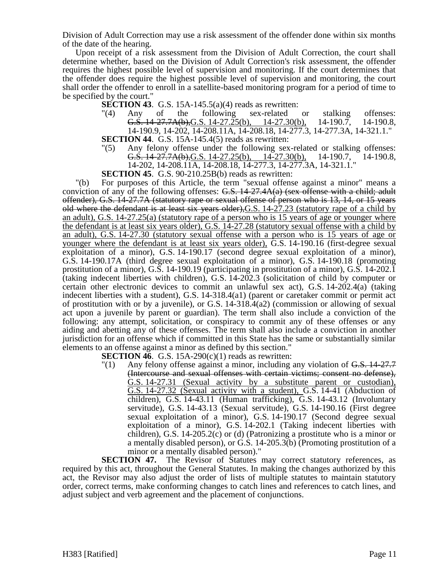Division of Adult Correction may use a risk assessment of the offender done within six months of the date of the hearing.

Upon receipt of a risk assessment from the Division of Adult Correction, the court shall determine whether, based on the Division of Adult Correction's risk assessment, the offender requires the highest possible level of supervision and monitoring. If the court determines that the offender does require the highest possible level of supervision and monitoring, the court shall order the offender to enroll in a satellite-based monitoring program for a period of time to be specified by the court."

- **SECTION 43.** G.S. 15A-145.5(a)(4) reads as rewritten:
- "(4) Any of the following sex-related or stalking offenses: G.S.  $14-27.7A(b)$ , G.S.  $14-27.25(b)$ ,  $14-27.30(b)$ ,  $14-190.7$ ,  $14-190.8$ , 14-190.9, 14-202, 14-208.11A, 14-208.18, 14-277.3, 14-277.3A, 14-321.1." **SECTION 44.** G.S. 15A-145.4(5) reads as rewritten:
- "(5) Any felony offense under the following sex-related or stalking offenses: G.S.  $14-27.7A(b)$ , G.S.  $14-27.25(b)$ ,  $14-27.30(b)$ ,  $14-190.7$ ,  $14-190.8$ , 14-202, 14-208.11A, 14-208.18, 14-277.3, 14-277.3A, 14-321.1."
- **SECTION 45**. G.S. 90-210.25B(b) reads as rewritten:

"(b) For purposes of this Article, the term "sexual offense against a minor" means a conviction of any of the following offenses:  $G.S. 14-27.4A(a)$  (sex offense with a child; adult offender), G.S. 14-27.7A (statutory rape or sexual offense of person who is 13, 14, or 15 years old where the defendant is at least six years older),G.S. 14-27.23 (statutory rape of a child by an adult), G.S. 14-27.25(a) (statutory rape of a person who is 15 years of age or younger where the defendant is at least six years older), G.S. 14-27.28 (statutory sexual offense with a child by an adult), G.S. 14-27.30 (statutory sexual offense with a person who is 15 years of age or younger where the defendant is at least six years older), G.S. 14-190.16 (first-degree sexual exploitation of a minor), G.S. 14-190.17 (second degree sexual exploitation of a minor), G.S. 14-190.17A (third degree sexual exploitation of a minor), G.S. 14-190.18 (promoting prostitution of a minor), G.S. 14-190.19 (participating in prostitution of a minor), G.S. 14-202.1 (taking indecent liberties with children), G.S. 14-202.3 (solicitation of child by computer or certain other electronic devices to commit an unlawful sex act), G.S. 14-202.4(a) (taking indecent liberties with a student), G.S. 14-318.4(a1) (parent or caretaker commit or permit act of prostitution with or by a juvenile), or G.S. 14-318.4(a2) (commission or allowing of sexual act upon a juvenile by parent or guardian). The term shall also include a conviction of the following: any attempt, solicitation, or conspiracy to commit any of these offenses or any aiding and abetting any of these offenses. The term shall also include a conviction in another jurisdiction for an offense which if committed in this State has the same or substantially similar elements to an offense against a minor as defined by this section."

**SECTION 46.** G.S. 15A-290(c)(1) reads as rewritten:

 $\langle 1 \rangle$  Any felony offense against a minor, including any violation of G.S. 14-27.7 (Intercourse and sexual offenses with certain victims; consent no defense), G.S. 14-27.31 (Sexual activity by a substitute parent or custodian), G.S. 14-27.32 (Sexual activity with a student), G.S. 14-41 (Abduction of children), G.S. 14-43.11 (Human trafficking), G.S. 14-43.12 (Involuntary servitude), G.S. 14-43.13 (Sexual servitude), G.S. 14-190.16 (First degree sexual exploitation of a minor), G.S. 14-190.17 (Second degree sexual exploitation of a minor), G.S. 14-202.1 (Taking indecent liberties with children), G.S. 14-205.2(c) or (d) (Patronizing a prostitute who is a minor or a mentally disabled person), or G.S. 14-205.3(b) (Promoting prostitution of a minor or a mentally disabled person)."

**SECTION 47.** The Revisor of Statutes may correct statutory references, as required by this act, throughout the General Statutes. In making the changes authorized by this act, the Revisor may also adjust the order of lists of multiple statutes to maintain statutory order, correct terms, make conforming changes to catch lines and references to catch lines, and adjust subject and verb agreement and the placement of conjunctions.